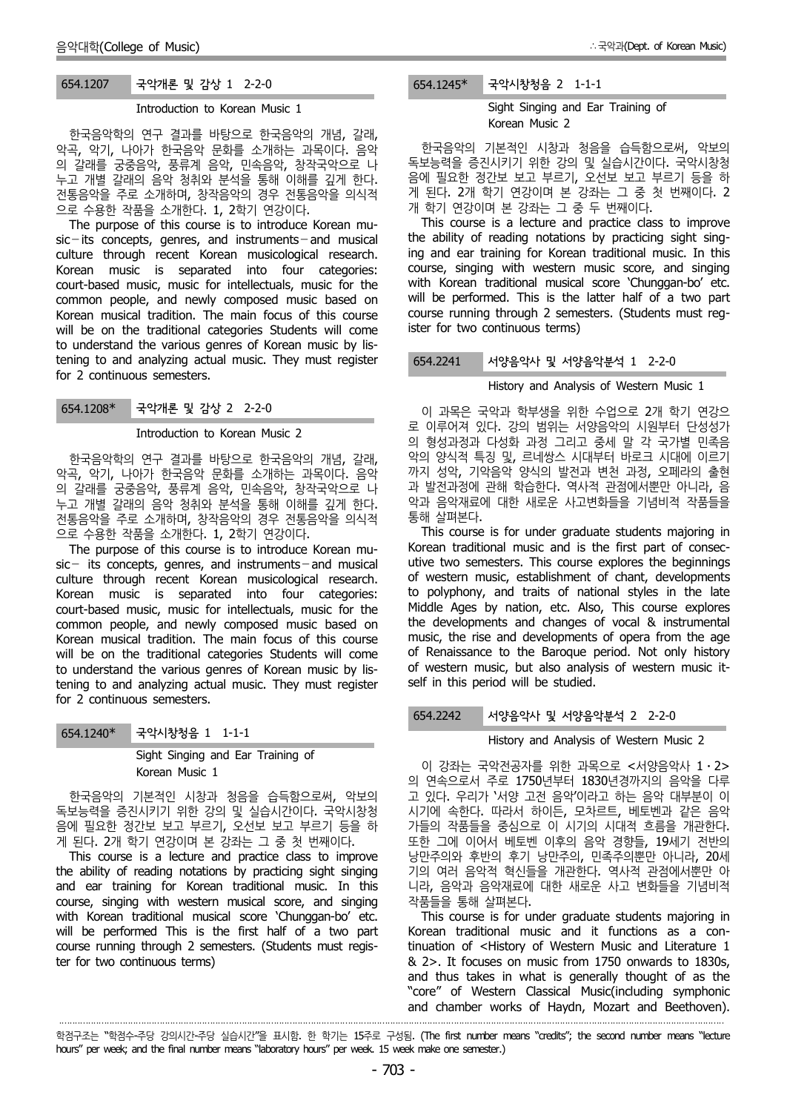# 654.1207 국악개론 및 감상 1 2-2-0

#### Introduction to Korean Music 1

한국음악학의 연구 결과를 바탕으로 한국음악의 개념, 갈래, 악곡, 악기, 나아가 한국음악 문화를 소개하는 과목이다. 음악 의 갈래를 궁중음악, 풍류계 음악, 민속음악, 창작국악으로 나 누고 개별 갈래의 음악 청취와 분석을 통해 이해를 깊게 한다. 전통음악을 주로 소개하며, 창작음악의 경우 전통음악을 의식적 으로 수용한 작품을 소개한다. 1, 2학기 연강이다.

The purpose of this course is to introduce Korean mu  $sic - its concepts, genes, and instruments- and musical$ culture through recent Korean musicological research. Korean music is separated into four categories: court-based music, music for intellectuals, music for the common people, and newly composed music based on Korean musical tradition. The main focus of this course will be on the traditional categories Students will come to understand the various genres of Korean music by listening to and analyzing actual music. They must register for 2 continuous semesters.

# 654.1208\* 국악개론 및 감상 2 2-2-0

#### Introduction to Korean Music 2

한국음악학의 연구 결과를 바탕으로 한국음악의 개념, 갈래, 악곡, 악기, 나아가 한국음악 문화를 소개하는 과목이다. 음악 의 갈래를 궁중음악, 풍류계 음악, 민속음악, 창작국악으로 나 누고 개별 갈래의 음악 청취와 분석을 통해 이해를 깊게 한다. 전통음악을 주로 소개하며, 창작음악의 경우 전통음악을 의식적 으로 수용한 작품을 소개한다. 1, 2학기 연강이다.

The purpose of this course is to introduce Korean mu  $sic-$  its concepts, genres, and instruments-and musical culture through recent Korean musicological research. Korean music is separated into four categories: court-based music, music for intellectuals, music for the common people, and newly composed music based on Korean musical tradition. The main focus of this course will be on the traditional categories Students will come to understand the various genres of Korean music by listening to and analyzing actual music. They must register for 2 continuous semesters.

654.1240\* 국악시창청음 1 1-1-1

·

Sight Singing and Ear Training of Korean Music 1

한국음악의 기본적인 시창과 청음을 습득함으로써, 악보의 독보능력을 증진시키기 위한 강의 및 실습시간이다. 국악시창청 음에 필요한 정간보 보고 부르기, 오선보 보고 부르기 등을 하

게 된다. 2개 학기 연강이며 본 강좌는 그 중 첫 번째이다. This course is a lecture and practice class to improve the ability of reading notations by practicing sight singing and ear training for Korean traditional music. In this course, singing with western musical score, and singing with Korean traditional musical score 'Chunggan-bo' etc. will be performed This is the first half of a two part course running through 2 semesters. (Students must register for two continuous terms)

# 654.1245\* 국악시창청음 2 1-1-1

Sight Singing and Ear Training of Korean Music 2

한국음악의 기본적인 시창과 청음을 습득함으로써, 악보의 독보능력을 증진시키기 위한 강의 및 실습시간이다. 국악시창청 음에 필요한 정간보 보고 부르기, 오선보 보고 부르기 등을 하 게 된다. 2개 학기 연강이며 본 강좌는 그 중 첫 번째이다. 2 개 학기 연강이며 본 강좌는 그 중 두 번째이다.

This course is a lecture and practice class to improve the ability of reading notations by practicing sight singing and ear training for Korean traditional music. In this course, singing with western music score, and singing with Korean traditional musical score 'Chunggan-bo' etc. will be performed. This is the latter half of a two part course running through 2 semesters. (Students must register for two continuous terms)

# 654.2241 서양음악사 및 서양음악분석 1 2-2-0

#### History and Analysis of Western Music 1

이 과목은 국악과 학부생을 위한 수업으로 2개 학기 연강으 로 이루어져 있다. 강의 범위는 서양음악의 시원부터 단성성가 의 형성과정과 다성화 과정 그리고 중세 말 각 국가별 민족음 악의 양식적 특징 및, 르네쌍스 시대부터 바로크 시대에 이르기 까지 성악, 기악음악 양식의 발전과 변천 과정, 오페라의 출현 과 발전과정에 관해 학습한다. 역사적 관점에서뿐만 아니라, 음 악과 음악재료에 대한 새로운 사고변화들을 기념비적 작품들을 통해 살펴본다.

This course is for under graduate students majoring in Korean traditional music and is the first part of consec utive two semesters. This course explores the beginnings of western music, establishment of chant, developments to polyphony, and traits of national styles in the late Middle Ages by nation, etc. Also, This course explores the developments and changes of vocal & instrumental music, the rise and developments of opera from the age of Renaissance to the Baroque period. Not only history of western music, but also analysis of western music it self in this period will be studied.

#### 654.2242 서양음악사 및 서양음악분석 2 2-2-0

#### History and Analysis of Western Music 2

이 강좌는 국악전공자를 위한 과목으로 <서양음악사 1⋅2> 의 연속으로서 주로 1750년부터 1830년경까지의 음악을 다루 고 있다. 우리가 '서양 고전 음악'이라고 하는 음악 대부분이 이 시기에 속한다. 따라서 하이든, 모차르트, 베토벤과 같은 음악 가들의 작품들을 중심으로 이 시기의 시대적 흐름을 개관한다. 또한 그에 이어서 베토벤 이후의 음악 경향들, 19세기 전반의 낭만주의와 후반의 후기 낭만주의, 민족주의뿐만 아니라, 20세 기의 여러 음악적 혁신들을 개관한다. 역사적 관점에서뿐만 아 니라, 음악과 음악재료에 대한 새로운 사고 변화들을 기념비적

This course is for under graduate students majoring in Korean traditional music and it functions as a continuation of <History of Western Music and Literature 1 & 2>. It focuses on music from 1750 onwards to 1830s, and thus takes in what is generally thought of as the "core" of Western Classical Music(including symphonic and chamber works of Haydn, Mozart and Beethoven).

학점구조는 "학점수-주당 강의시간-주당 실습시간"을 표시함. 한 학기는 15주로 구성됨. (The first number means "credits"; the second number means "lecture hours" per week; and the final number means "laboratory hours" per week. 15 week make one semester.)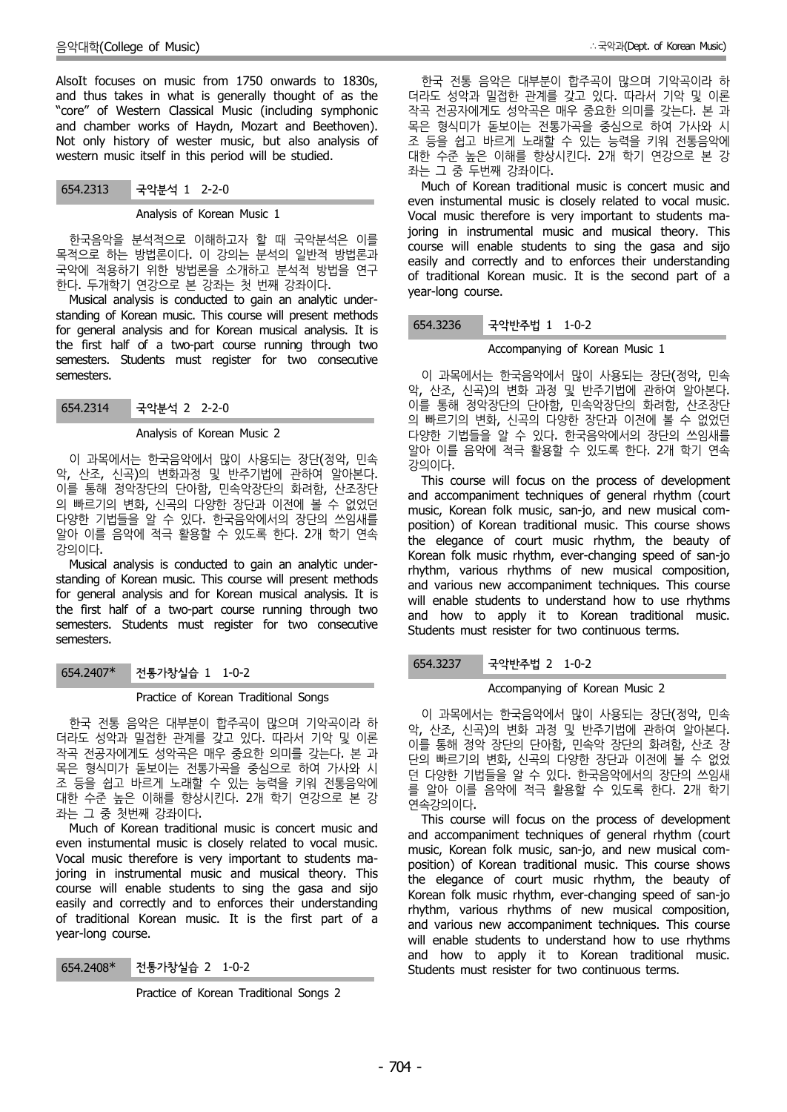AlsoIt focuses on music from 1750 onwards to 1830s, and thus takes in what is generally thought of as the "core" of Western Classical Music (including symphonic and chamber works of Haydn, Mozart and Beethoven). Not only history of wester music, but also analysis of western music itself in this period will be studied.

## 654.2313 국악분석 1 2-2-0

#### Analysis of Korean Music 1

한국음악을 분석적으로 이해하고자 할 때 국악분석은 이를 목적으로 하는 방법론이다. 이 강의는 분석의 일반적 방법론과 국악에 적용하기 위한 방법론을 소개하고 분석적 방법을 연구 한다. 두개학기 연강으로 본 강좌는 첫 번째 강좌이다.

Musical analysis is conducted to gain an analytic under standing of Korean music. This course will present methods for general analysis and for Korean musical analysis. It is the first half of a two-part course running through two semesters. Students must register for two consecutive semesters.

654.2314 국악분석 2 2-2-0

#### Analysis of Korean Music 2

이 과목에서는 한국음악에서 많이 사용되는 장단(정악, 민속 악, 산조, 신곡)의 변화과정 및 반주기법에 관하여 알아본다. 이를 통해 정악장단의 단아함, 민속악장단의 화려함, 산조장단 의 빠르기의 변화, 신곡의 다양한 장단과 이전에 볼 수 없었던 다양한 기법들을 알 수 있다. 한국음악에서의 장단의 쓰임새를 알아 이를 음악에 적극 활용할 수 있도록 한다. 2개 학기 연속 강의이다.

Musical analysis is conducted to gain an analytic under standing of Korean music. This course will present methods for general analysis and for Korean musical analysis. It is the first half of a two-part course running through two semesters. Students must register for two consecutive semesters.

## 654.2407\* 전통가창실습 1 1-0-2

## Practice of Korean Traditional Songs

한국 전통 음악은 대부분이 합주곡이 많으며 기악곡이라 하 더라도 성악과 밀접한 관계를 갖고 있다. 따라서 기악 및 이론 작곡 전공자에게도 성악곡은 매우 중요한 의미를 갖는다. 본 과 목은 형식미가 돋보이는 전통가곡을 중심으로 하여 가사와 시 조 등을 쉽고 바르게 노래할 수 있는 능력을 키워 전통음악에 대한 수준 높은 이해를 향상시킨다. 2개 학기 연강으로 본 강 좌는 그 중 첫번째 강좌이다.

Much of Korean traditional music is concert music and even instumental music is closely related to vocal music. Vocal music therefore is very important to students majoring in instrumental music and musical theory. This course will enable students to sing the gasa and sijo easily and correctly and to enforces their understanding of traditional Korean music. It is the first part of a year-long course.

#### 654.2408\* 전통가창실습 2 1-0-2

Practice of Korean Traditional Songs 2

한국 전통 음악은 대부분이 합주곡이 많으며 기악곡이라 하 더라도 성악과 밀접한 관계를 갖고 있다. 따라서 기악 및 이론 작곡 전공자에게도 성악곡은 매우 중요한 의미를 갖는다. 본 과 목은 형식미가 돋보이는 전통가곡을 중심으로 하여 가사와 시 조 등을 쉽고 바르게 노래할 수 있는 능력을 키워 전통음악에 대한 수준 높은 이해를 향상시킨다. 2개 학기 연강으로 본 강 좌는 그 중 두번째 강좌이다.

Much of Korean traditional music is concert music and even instumental music is closely related to vocal music. Vocal music therefore is very important to students majoring in instrumental music and musical theory. This course will enable students to sing the gasa and sijo easily and correctly and to enforces their understanding of traditional Korean music. It is the second part of a year-long course.

## 654.3236 국악반주법 1 1-0-2

## Accompanying of Korean Music 1

이 과목에서는 한국음악에서 많이 사용되는 장단(정악, 민속 악, 산조, 신곡)의 변화 과정 및 반주기법에 관하여 알아본다. 이를 통해 정악장단의 단아함, 민속악장단의 화려함, 산조장단 의 빠르기의 변화, 신곡의 다양한 장단과 이전에 볼 수 없었던 다양한 기법들을 알 수 있다. 한국음악에서의 장단의 쓰임새를 알아 이를 음악에 적극 활용할 수 있도록 한다. 2개 학기 연속 강의이다.

This course will focus on the process of development and accompaniment techniques of general rhythm (court music, Korean folk music, san-jo, and new musical com position) of Korean traditional music. This course shows the elegance of court music rhythm, the beauty of Korean folk music rhythm, ever-changing speed of san-jo rhythm, various rhythms of new musical composition, and various new accompaniment techniques. This course will enable students to understand how to use rhythms and how to apply it to Korean traditional music. Students must resister for two continuous terms.

#### 654.3237 국악반주법 2 1-0-2

#### Accompanying of Korean Music 2

이 과목에서는 한국음악에서 많이 사용되는 장단(정악, 민속 악, 산조, 신곡)의 변화 과정 및 반주기법에 관하여 알아본다. 이를 통해 정악 장단의 단아함, 민속악 장단의 화려함, 산조 장 단의 빠르기의 변화, 신곡의 다양한 장단과 이전에 볼 수 없었 던 다양한 기법들을 알 수 있다. 한국음악에서의 장단의 쓰임새 를 알아 이를 음악에 적극 활용할 수 있도록 한다. 2개 학기 연속강의이다.

This course will focus on the process of development and accompaniment techniques of general rhythm (court music, Korean folk music, san-jo, and new musical com position) of Korean traditional music. This course shows the elegance of court music rhythm, the beauty of Korean folk music rhythm, ever-changing speed of san-jo rhythm, various rhythms of new musical composition, and various new accompaniment techniques. This course will enable students to understand how to use rhythms and how to apply it to Korean traditional music. Students must resister for two continuous terms.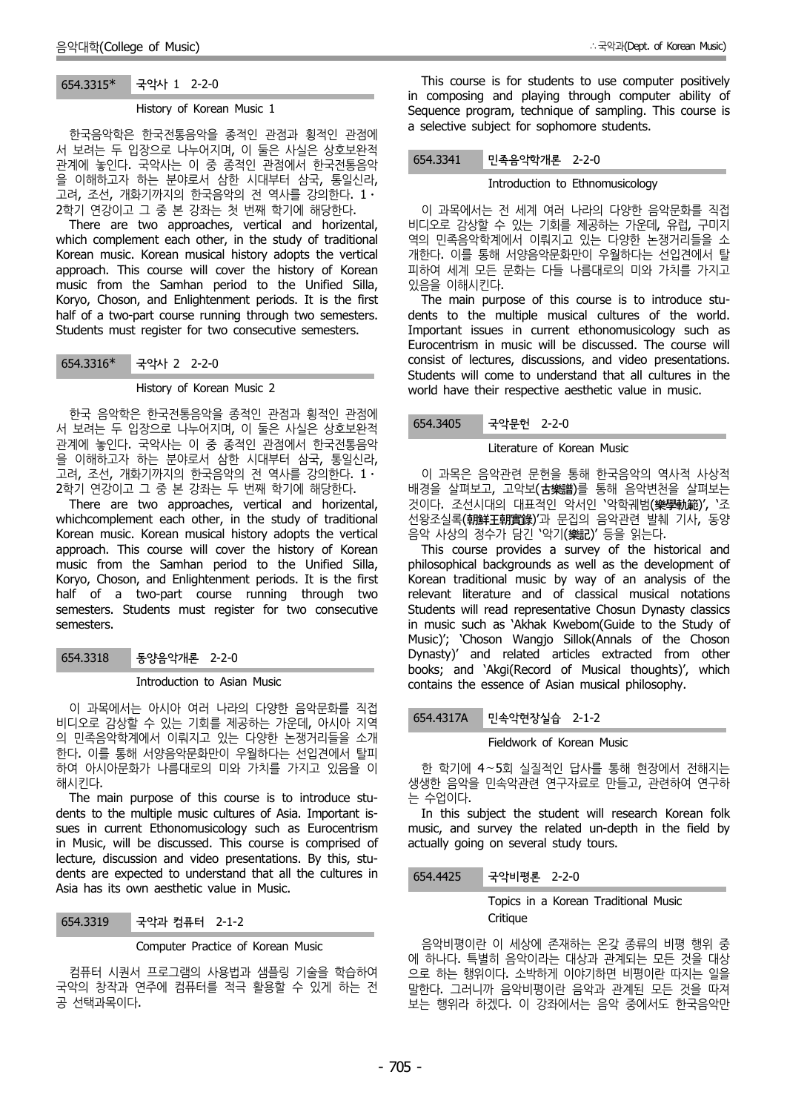# 654.3315\* 국악사 1 2-2-0

#### History of Korean Music 1

한국음악학은 한국전통음악을 종적인 관점과 횡적인 관점에 서 보려는 두 입장으로 나누어지며, 이 둘은 사실은 상호보완적 서 포니스 | 법흥프포 대 카세가, 이 불린 사물인 중포포함과<br>관계에 놓인다. 국악사는 이 중 종적인 관점에서 한국전통음악 654.3341 을 이해하고자 하는 분야로서 삼한 시대부터 삼국, 통일신라, 고려, 조선, 개화기까지의 한국음악의 전 역사를 강의한다. 1⋅ 2학기 연강이고 그 중 본 강좌는 첫 번째 학기에 해당한다.

There are two approaches, vertical and horizental, which complement each other, in the study of traditional Korean music. Korean musical history adopts the vertical approach. This course will cover the history of Korean music from the Samhan period to the Unified Silla, Koryo, Choson, and Enlightenment periods. It is the first half of a two-part course running through two semesters. Students must register for two consecutive semesters.

## 654.3316\* 국악사 2 2-2-0

#### History of Korean Music 2

한국 음악학은 한국전통음악을 종적인 관점과 횡적인 관점에 서 보려는 두 입장으로 나누어지며, 이 둘은 사실은 상호보완적 관계에 놓인다. 국악사는 이 중 종적인 관점에서 한국전통음악 을 이해하고자 하는 분야로서 삼한 시대부터 삼국, 통일신라, 고려, 조선, 개화기까지의 한국음악의 전 역사를 강의한다. 1 · 2학기 연강이고 그 중 본 강좌는 두 번째 학기에 해당한다.

There are two approaches, vertical and horizental, whichcomplement each other, in the study of traditional Korean music. Korean musical history adopts the vertical approach. This course will cover the history of Korean music from the Samhan period to the Unified Silla, Koryo, Choson, and Enlightenment periods. It is the first half of a two-part course running through two semesters. Students must register for two consecutive semesters.

654.3318 동양음악개론 2-2-0

Introduction to Asian Music

이 과목에서는 아시아 여러 나라의 다양한 음악문화를 직접 비디오로 감상할 수 있는 기회를 제공하는 가운데, 아시아 지역 154.4317A 의 민족음악학계에서 이뤄지고 있는 다양한 논쟁거리들을 소개 한다. 이를 통해 서양음악문화만이 우월하다는 선입견에서 탈피 하여 아시아문화가 나름대로의 미와 가치를 가지고 있음을 이 해시킨다.

The main purpose of this course is to introduce stu dents to the multiple music cultures of Asia. Important is sues in current Ethonomusicology such as Eurocentrism in Music, will be discussed. This course is comprised of lecture, discussion and video presentations. By this, stu dents are expected to understand that all the cultures in Asia has its own aesthetic value in Music.

654.3319 국악과 컴퓨터 2-1-2

#### Computer Practice of Korean Music

컴퓨터 시퀀서 프로그램의 사용법과 샘플링 기술을 학습하여 국악의 창작과 연주에 컴퓨터를 적극 활용할 수 있게 하는 전 공 선택과목이다.

This course is for students to use computer positively in composing and playing through computer ability of Sequence program, technique of sampling. This course is a selective subject for sophomore students.

## 654.3341 민족음악학개론 2-2-0

#### Introduction to Ethnomusicology

이 과목에서는 전 세계 여러 나라의 다양한 음악문화를 직접 비디오로 감상할 수 있는 기회를 제공하는 가운데, 유럽, 구미지 역의 민족음악학계에서 이뤄지고 있는 다양한 논쟁거리들을 소 개한다. 이를 통해 서양음악문화만이 우월하다는 선입견에서 탈 피하여 세계 모든 문화는 다들 나름대로의 미와 가치를 가지고 있음을 이해시킨다.

The main purpose of this course is to introduce stu dents to the multiple musical cultures of the world. Important issues in current ethonomusicology such as Eurocentrism in music will be discussed. The course will consist of lectures, discussions, and video presentations. Students will come to understand that all cultures in the world have their respective aesthetic value in music.

#### 국악문헌 2-2-0

#### Literature of Korean Music

이 과목은 음악관련 문헌을 통해 한국음악의 역사적 사상적 배경을 살펴보고, 고악보(古樂譜)를 통해 음악변천을 살펴보는 것이다. 조선시대의 대표적인 악서인 '악학궤범(樂學軌範)', '조 선왕조실록(朝鮮王朝實錄)'과 문집의 음악관련 발췌 기사, 동양 음악 사상의 정수가 담긴 '악기(樂記)' 등을 읽는다.

This course provides a survey of the historical and philosophical backgrounds as well as the development of Korean traditional music by way of an analysis of the relevant literature and of classical musical notations Students will read representative Chosun Dynasty classics in music such as 'Akhak Kwebom(Guide to the Study of Music)'; 'Choson Wangjo Sillok(Annals of the Choson Dynasty)' and related articles extracted from other books; and 'Akgi(Record of Musical thoughts)', which contains the essence of Asian musical philosophy.

## 민속악현장실습 2-1-2

#### Fieldwork of Korean Music

한 학기에 4∼5회 실질적인 답사를 통해 현장에서 전해지는 생생한 음악을 민속악관련 연구자료로 만들고, 관련하여 연구하 는 수업이다.

In this subject the student will research Korean folk music, and survey the related un-depth in the field by actually going on several study tours.

### 654.4425 국악비평론 2-2-0

Topics in a Korean Traditional Music **Critique** 

음악비평이란 이 세상에 존재하는 온갖 종류의 비평 행위 중 에 하나다. 특별히 음악이라는 대상과 관계되는 모든 것을 대상 으로 하는 행위이다. 소박하게 이야기하면 비평이란 따지는 일을 말한다. 그러니까 음악비평이란 음악과 관계된 모든 것을 따져 보는 행위라 하겠다. 이 강좌에서는 음악 중에서도 한국음악만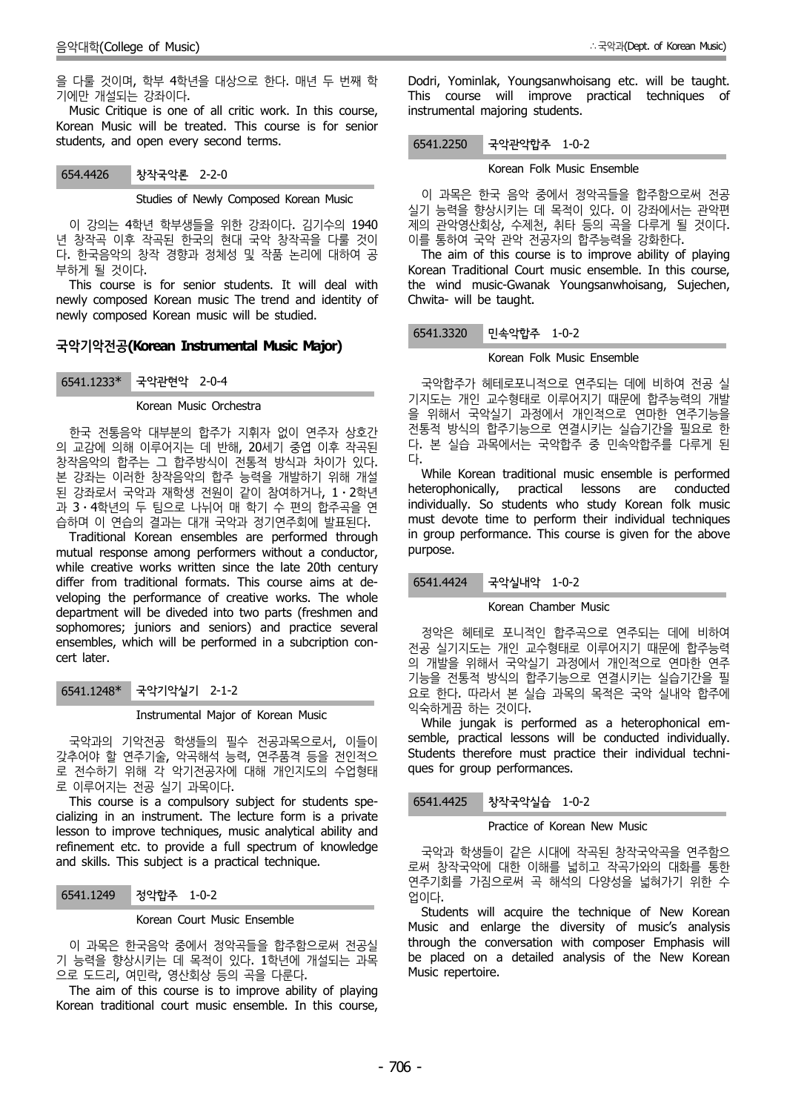을 다룰 것이며, 학부 4학년을 대상으로 한다. 매년 두 번째 학 기에만 개설되는 강좌이다.

Music Critique is one of all critic work. In this course, Korean Music will be treated. This course is for senior students, and open every second terms.

#### 654.4426 창작국악론 2-2-0

Studies of Newly Composed Korean Music

이 강의는 4학년 학부생들을 위한 강좌이다. 김기수의 1940 년 창작곡 이후 작곡된 한국의 현대 국악 창작곡을 다룰 것이 다. 한국음악의 창작 경향과 정체성 및 작품 논리에 대하여 공 부하게 될 것이다. This course is for senior students. It will deal with

newly composed Korean music The trend and identity of newly composed Korean music will be studied.

## **국악기악전공(Korean Instrumental Music Major)**

6541.1233\* 국악관현악 2-0-4

#### Korean Music Orchestra

한국 전통음악 대부분의 합주가 지휘자 없이 연주자 상호간 의 교감에 의해 이루어지는 데 반해, 20세기 중엽 이후 작곡된 다.<br>차자우아이 하즈느 ㄱ 하즈바시이 저토저 바시과 차이가 인다. 다. 창작음악의 합주는 그 합주방식이 전통적 방식과 차이가 있다. 본 강좌는 이러한 창작음악의 합주 능력을 개발하기 위해 개설 된 강좌로서 국악과 재학생 전원이 같이 참여하거나, 1⋅2학년 과 3 ⋅ 4학년의 두 팀으로 나뉘어 매 학기 수 편의 합주곡을 연 습하며 이 연습의 결과는 대개 국악과 정기연주회에 발표된다.

Traditional Korean ensembles are performed through mutual response among performers without a conductor, while creative works written since the late 20th century differ from traditional formats. This course aims at de veloping the performance of creative works. The whole department will be diveded into two parts (freshmen and sophomores; juniors and seniors) and practice several ensembles, which will be performed in a subcription con cert later.

# 6541.1248\* 국악기악실기 2-1-2

Instrumental Major of Korean Music

국악과의 기악전공 학생들의 필수 전공과목으로서, 이들이 갖추어야 할 연주기술, 악곡해석 능력, 연주품격 등을 전인적으 로 전수하기 위해 각 악기전공자에 대해 개인지도의 수업형태 로 이루어지는 전공 실기 과목이다.

This course is a compulsory subject for students spe-<br>
6541.4425 cializing in an instrument. The lecture form is a private lesson to improve techniques, music analytical ability and refinement etc. to provide a full spectrum of knowledge and skills. This subject is a practical technique.

## 6541.1249 정악합주 1-0-2

#### Korean Court Music Ensemble

이 과목은 한국음악 중에서 정악곡들을 합주함으로써 전공실 기 능력을 향상시키는 데 목적이 있다. 1학년에 개설되는 과목 으로 도드리, 여민락, 영산회상 등의 곡을 다룬다.

The aim of this course is to improve ability of playing Korean traditional court music ensemble. In this course, Dodri, Yominlak, Youngsanwhoisang etc. will be taught. This course will improve practical techniques of instrumental majoring students.

#### 6541.2250 국악관악합주 1-0-2

#### Korean Folk Music Ensemble

이 과목은 한국 음악 중에서 정악곡들을 합주함으로써 전공 실기 능력을 향상시키는 데 목적이 있다. 이 강좌에서는 관악편 제의 관악영산회상, 수제천, 취타 등의 곡을 다루게 될 것이다. 이를 통하여 국악 관악 전공자의 합주능력을 강화한다.

The aim of this course is to improve ability of playing Korean Traditional Court music ensemble. In this course, the wind music-Gwanak Youngsanwhoisang, Sujechen, Chwita- will be taught.

## 6541.3320 민속악합주 1-0-2

#### Korean Folk Music Ensemble

국악합주가 헤테로포니적으로 연주되는 데에 비하여 전공 실 기지도는 개인 교수형태로 이루어지기 때문에 합주능력의 개발 을 위해서 국악실기 과정에서 개인적으로 연마한 연주기능을 전통적 방식의 합주기능으로 연결시키는 실습기간을 필요로 한 다. 본 실습 과목에서는 국악합주 중 민속악합주를 다루게 된

While Korean traditional music ensemble is performed heterophonically, practical lessons are conducted individually. So students who study Korean folk music must devote time to perform their individual techniques in group performance. This course is given for the above purpose.

## 6541.4424 국악실내악 1-0-2

#### Korean Chamber Music

정악은 헤테로 포니적인 합주곡으로 연주되는 데에 비하여 전공 실기지도는 개인 교수형태로 이루어지기 때문에 합주능력 의 개발을 위해서 국악실기 과정에서 개인적으로 연마한 연주 기능을 전통적 방식의 합주기능으로 연결시키는 실습기간을 필 요로 한다. 따라서 본 실습 과목의 목적은 국악 실내악 합주에 익숙하게끔 하는 것이다.

While jungak is performed as a heterophonical em semble, practical lessons will be conducted individually. Students therefore must practice their individual techni ques for group performances.

#### 창작국악실습 1-0-2

#### Practice of Korean New Music

국악과 학생들이 같은 시대에 작곡된 창작국악곡을 연주함으 로써 창작국악에 대한 이해를 넓히고 작곡가와의 대화를 통한 연주기회를 가짐으로써 곡 해석의 다양성을 넓혀가기 위한 수 업이다.

Students will acquire the technique of New Korean Music and enlarge the diversity of music's analysis through the conversation with composer Emphasis will be placed on a detailed analysis of the New Korean Music repertoire.